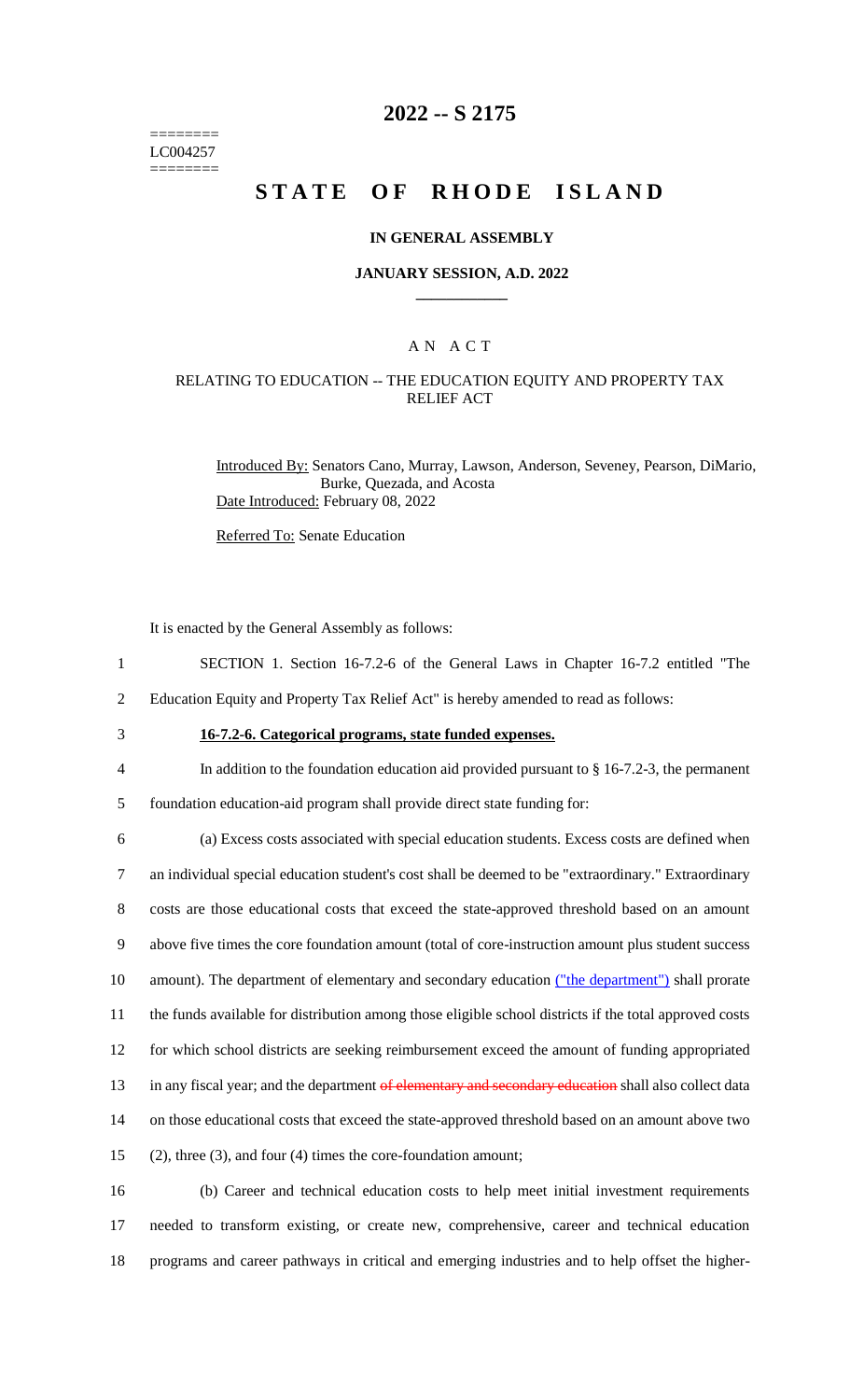======== LC004257 ========

# **2022 -- S 2175**

# **STATE OF RHODE ISLAND**

#### **IN GENERAL ASSEMBLY**

#### **JANUARY SESSION, A.D. 2022 \_\_\_\_\_\_\_\_\_\_\_\_**

### A N A C T

### RELATING TO EDUCATION -- THE EDUCATION EQUITY AND PROPERTY TAX RELIEF ACT

Introduced By: Senators Cano, Murray, Lawson, Anderson, Seveney, Pearson, DiMario, Burke, Quezada, and Acosta Date Introduced: February 08, 2022

Referred To: Senate Education

It is enacted by the General Assembly as follows:

- 1 SECTION 1. Section 16-7.2-6 of the General Laws in Chapter 16-7.2 entitled "The
- 2 Education Equity and Property Tax Relief Act" is hereby amended to read as follows:
- 

# 3 **16-7.2-6. Categorical programs, state funded expenses.**

4 In addition to the foundation education aid provided pursuant to § 16-7.2-3, the permanent

5 foundation education-aid program shall provide direct state funding for:

 (a) Excess costs associated with special education students. Excess costs are defined when an individual special education student's cost shall be deemed to be "extraordinary." Extraordinary costs are those educational costs that exceed the state-approved threshold based on an amount above five times the core foundation amount (total of core-instruction amount plus student success 10 amount). The department of elementary and secondary education ("the department") shall prorate the funds available for distribution among those eligible school districts if the total approved costs for which school districts are seeking reimbursement exceed the amount of funding appropriated 13 in any fiscal year; and the department of elementary and secondary education shall also collect data on those educational costs that exceed the state-approved threshold based on an amount above two (2), three (3), and four (4) times the core-foundation amount;

16 (b) Career and technical education costs to help meet initial investment requirements 17 needed to transform existing, or create new, comprehensive, career and technical education 18 programs and career pathways in critical and emerging industries and to help offset the higher-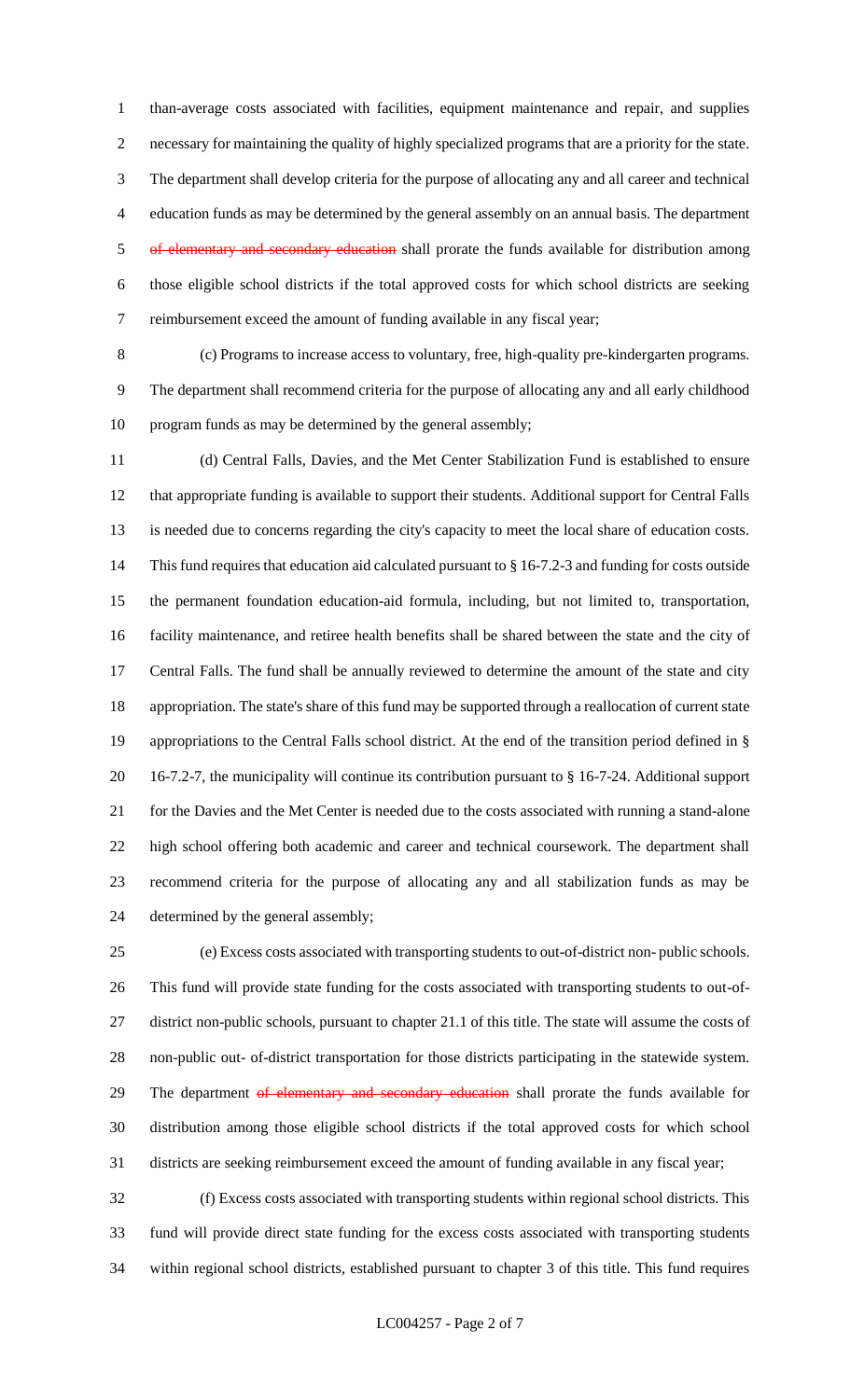than-average costs associated with facilities, equipment maintenance and repair, and supplies necessary for maintaining the quality of highly specialized programs that are a priority for the state. The department shall develop criteria for the purpose of allocating any and all career and technical education funds as may be determined by the general assembly on an annual basis. The department 5 of elementary and secondary education shall prorate the funds available for distribution among those eligible school districts if the total approved costs for which school districts are seeking reimbursement exceed the amount of funding available in any fiscal year;

 (c) Programs to increase access to voluntary, free, high-quality pre-kindergarten programs. The department shall recommend criteria for the purpose of allocating any and all early childhood program funds as may be determined by the general assembly;

 (d) Central Falls, Davies, and the Met Center Stabilization Fund is established to ensure that appropriate funding is available to support their students. Additional support for Central Falls is needed due to concerns regarding the city's capacity to meet the local share of education costs. This fund requires that education aid calculated pursuant to § 16-7.2-3 and funding for costs outside the permanent foundation education-aid formula, including, but not limited to, transportation, facility maintenance, and retiree health benefits shall be shared between the state and the city of Central Falls. The fund shall be annually reviewed to determine the amount of the state and city appropriation. The state's share of this fund may be supported through a reallocation of current state appropriations to the Central Falls school district. At the end of the transition period defined in § 16-7.2-7, the municipality will continue its contribution pursuant to § 16-7-24. Additional support for the Davies and the Met Center is needed due to the costs associated with running a stand-alone high school offering both academic and career and technical coursework. The department shall recommend criteria for the purpose of allocating any and all stabilization funds as may be determined by the general assembly;

 (e) Excess costs associated with transporting students to out-of-district non- public schools. This fund will provide state funding for the costs associated with transporting students to out-of- district non-public schools, pursuant to chapter 21.1 of this title. The state will assume the costs of non-public out- of-district transportation for those districts participating in the statewide system. 29 The department of elementary and secondary education shall prorate the funds available for distribution among those eligible school districts if the total approved costs for which school districts are seeking reimbursement exceed the amount of funding available in any fiscal year;

 (f) Excess costs associated with transporting students within regional school districts. This fund will provide direct state funding for the excess costs associated with transporting students within regional school districts, established pursuant to chapter 3 of this title. This fund requires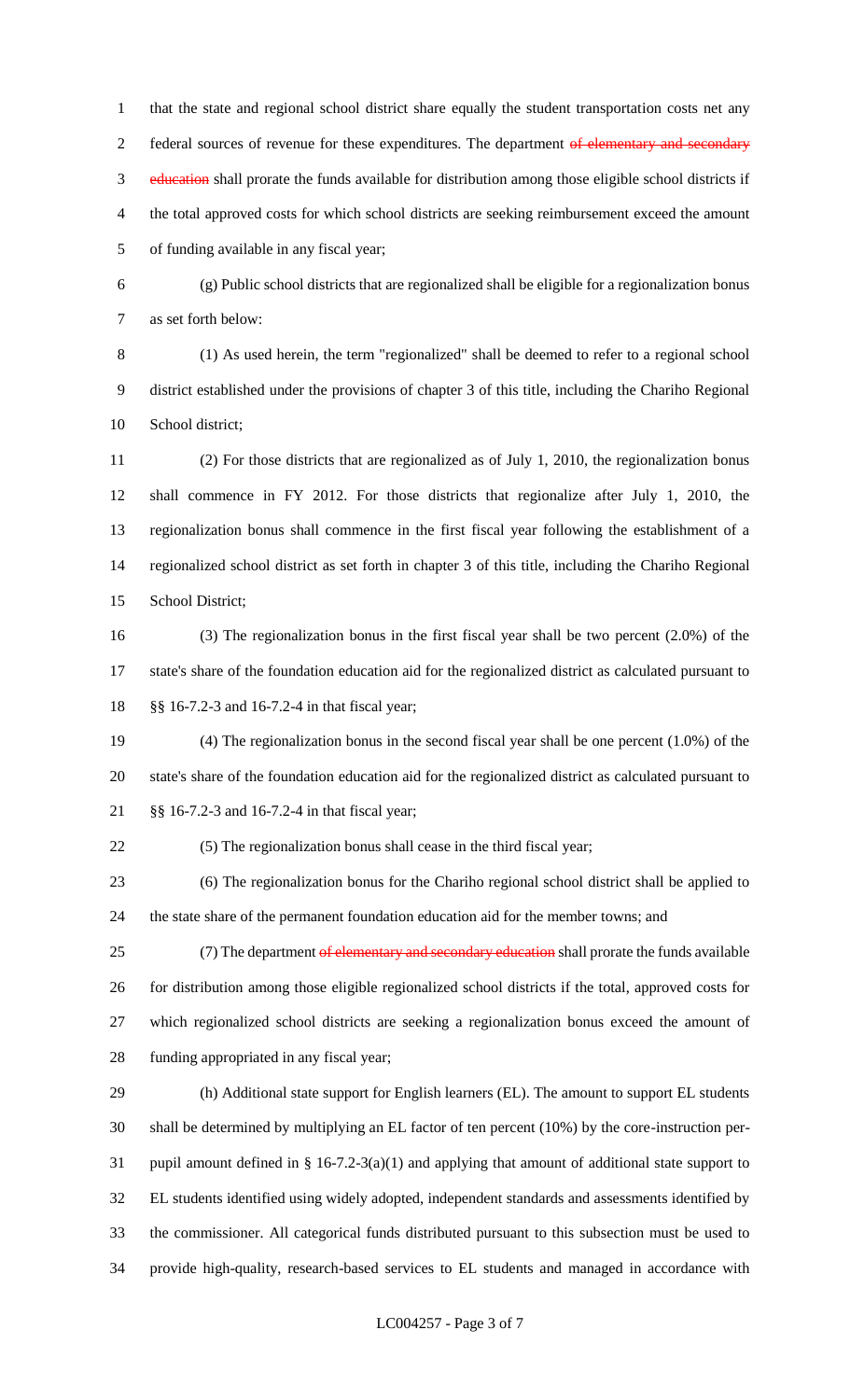that the state and regional school district share equally the student transportation costs net any 2 federal sources of revenue for these expenditures. The department of elementary and secondary education shall prorate the funds available for distribution among those eligible school districts if the total approved costs for which school districts are seeking reimbursement exceed the amount of funding available in any fiscal year;

 (g) Public school districts that are regionalized shall be eligible for a regionalization bonus as set forth below:

 (1) As used herein, the term "regionalized" shall be deemed to refer to a regional school district established under the provisions of chapter 3 of this title, including the Chariho Regional School district;

 (2) For those districts that are regionalized as of July 1, 2010, the regionalization bonus shall commence in FY 2012. For those districts that regionalize after July 1, 2010, the regionalization bonus shall commence in the first fiscal year following the establishment of a regionalized school district as set forth in chapter 3 of this title, including the Chariho Regional School District;

 (3) The regionalization bonus in the first fiscal year shall be two percent (2.0%) of the state's share of the foundation education aid for the regionalized district as calculated pursuant to §§ 16-7.2-3 and 16-7.2-4 in that fiscal year;

 (4) The regionalization bonus in the second fiscal year shall be one percent (1.0%) of the state's share of the foundation education aid for the regionalized district as calculated pursuant to §§ 16-7.2-3 and 16-7.2-4 in that fiscal year;

(5) The regionalization bonus shall cease in the third fiscal year;

 (6) The regionalization bonus for the Chariho regional school district shall be applied to the state share of the permanent foundation education aid for the member towns; and

25 (7) The department of elementary and secondary education shall prorate the funds available for distribution among those eligible regionalized school districts if the total, approved costs for which regionalized school districts are seeking a regionalization bonus exceed the amount of funding appropriated in any fiscal year;

 (h) Additional state support for English learners (EL). The amount to support EL students shall be determined by multiplying an EL factor of ten percent (10%) by the core-instruction per- pupil amount defined in § 16-7.2-3(a)(1) and applying that amount of additional state support to EL students identified using widely adopted, independent standards and assessments identified by the commissioner. All categorical funds distributed pursuant to this subsection must be used to provide high-quality, research-based services to EL students and managed in accordance with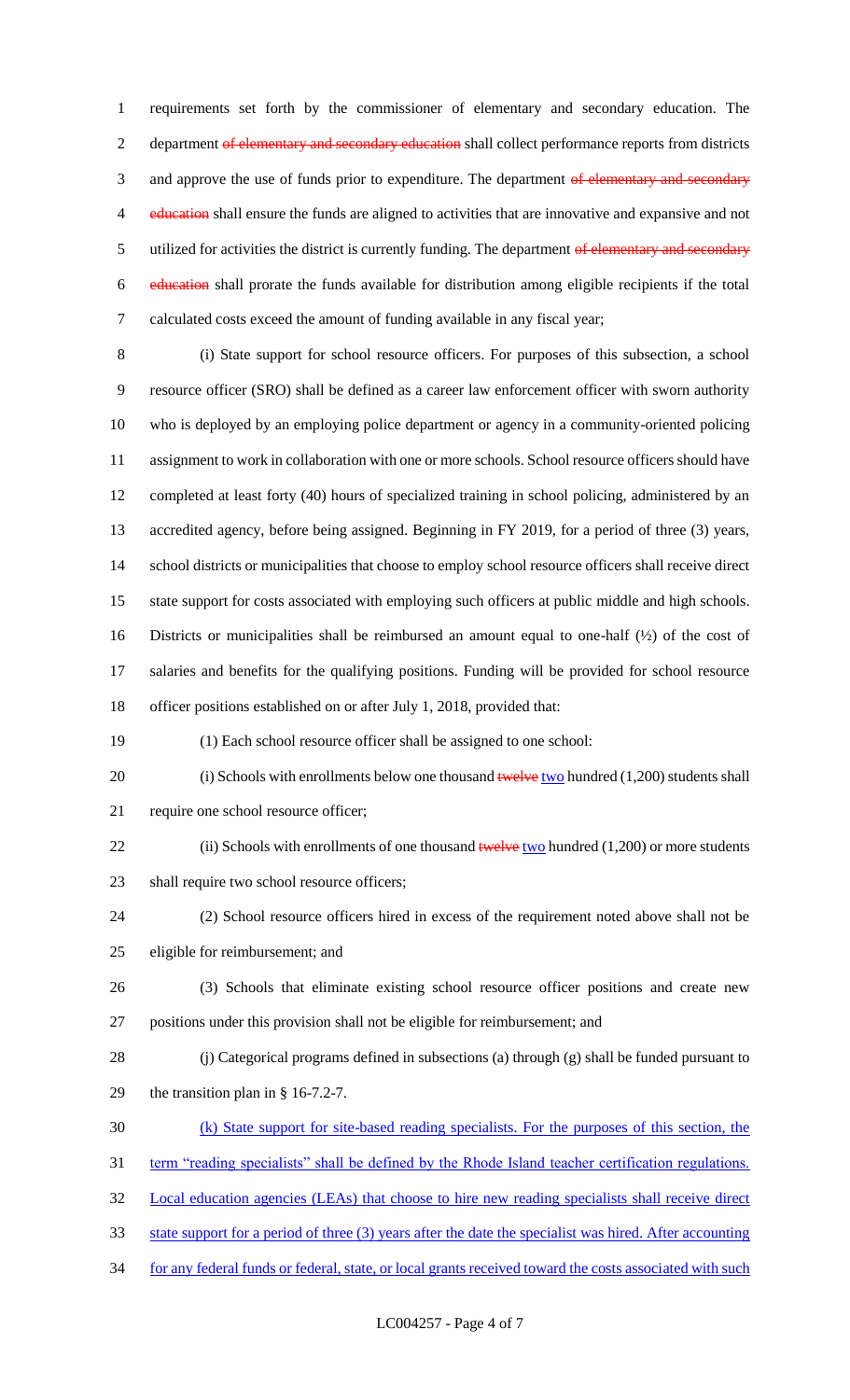requirements set forth by the commissioner of elementary and secondary education. The 2 department of elementary and secondary education shall collect performance reports from districts 3 and approve the use of funds prior to expenditure. The department of elementary and secondary 4 education shall ensure the funds are aligned to activities that are innovative and expansive and not 5 utilized for activities the district is currently funding. The department of elementary and secondary education shall prorate the funds available for distribution among eligible recipients if the total calculated costs exceed the amount of funding available in any fiscal year;

 (i) State support for school resource officers. For purposes of this subsection, a school resource officer (SRO) shall be defined as a career law enforcement officer with sworn authority who is deployed by an employing police department or agency in a community-oriented policing assignment to work in collaboration with one or more schools. School resource officers should have completed at least forty (40) hours of specialized training in school policing, administered by an accredited agency, before being assigned. Beginning in FY 2019, for a period of three (3) years, school districts or municipalities that choose to employ school resource officers shall receive direct state support for costs associated with employing such officers at public middle and high schools. Districts or municipalities shall be reimbursed an amount equal to one-half (½) of the cost of salaries and benefits for the qualifying positions. Funding will be provided for school resource officer positions established on or after July 1, 2018, provided that:

(1) Each school resource officer shall be assigned to one school:

20 (i) Schools with enrollments below one thousand  $t$  welve two hundred (1,200) students shall require one school resource officer;

22 (ii) Schools with enrollments of one thousand  $t$ welve two hundred (1,200) or more students 23 shall require two school resource officers;

 (2) School resource officers hired in excess of the requirement noted above shall not be eligible for reimbursement; and

- (3) Schools that eliminate existing school resource officer positions and create new positions under this provision shall not be eligible for reimbursement; and
- (j) Categorical programs defined in subsections (a) through (g) shall be funded pursuant to the transition plan in § 16-7.2-7.
- (k) State support for site-based reading specialists. For the purposes of this section, the
- 31 term "reading specialists" shall be defined by the Rhode Island teacher certification regulations.

Local education agencies (LEAs) that choose to hire new reading specialists shall receive direct

- state support for a period of three (3) years after the date the specialist was hired. After accounting
- 34 for any federal funds or federal, state, or local grants received toward the costs associated with such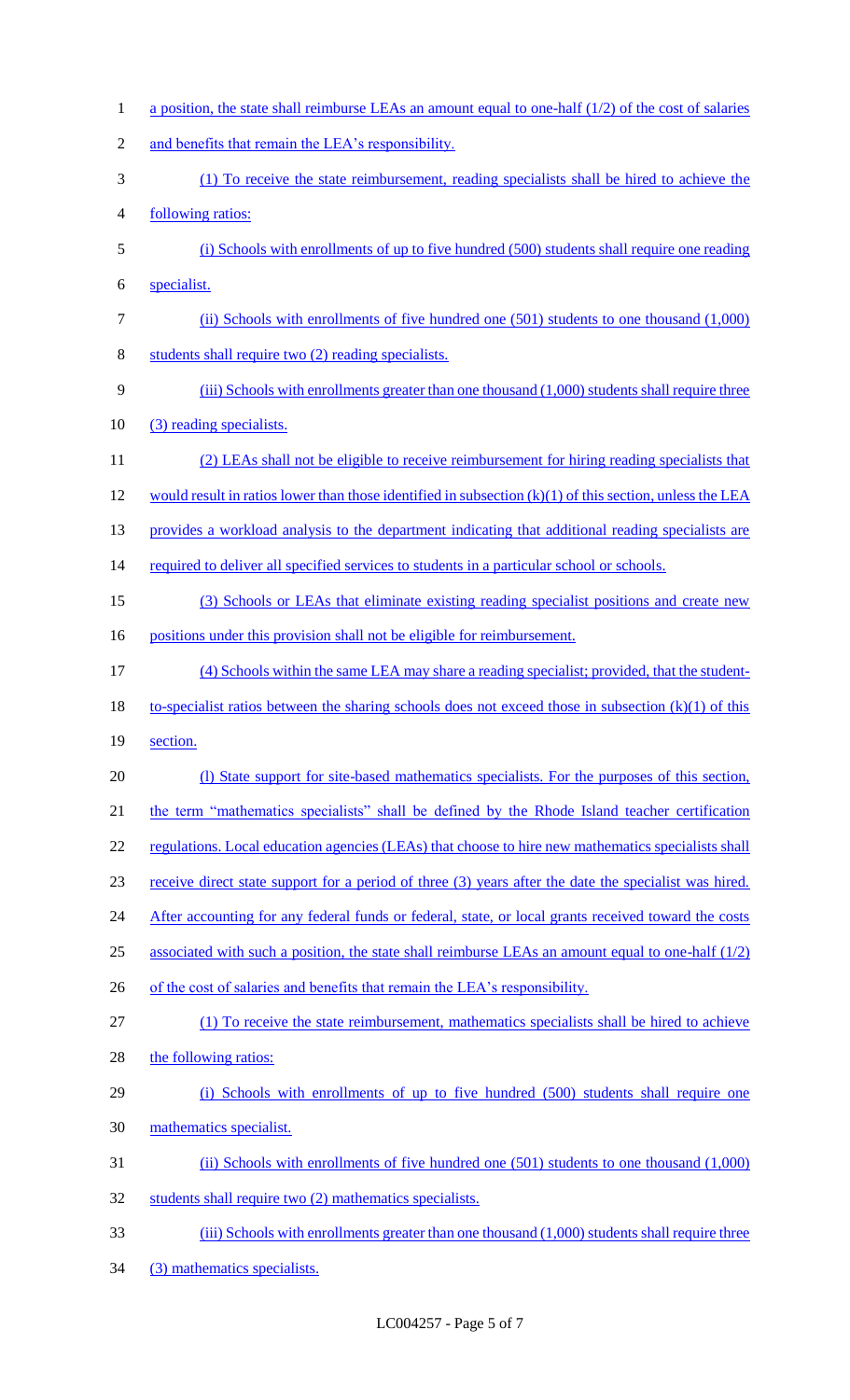1 a position, the state shall reimburse LEAs an amount equal to one-half (1/2) of the cost of salaries and benefits that remain the LEA's responsibility. (1) To receive the state reimbursement, reading specialists shall be hired to achieve the following ratios: (i) Schools with enrollments of up to five hundred (500) students shall require one reading specialist. (ii) Schools with enrollments of five hundred one (501) students to one thousand (1,000) students shall require two (2) reading specialists. 9 (iii) Schools with enrollments greater than one thousand (1,000) students shall require three (3) reading specialists. (2) LEAs shall not be eligible to receive reimbursement for hiring reading specialists that would result in ratios lower than those identified in subsection (k)(1) of this section, unless the LEA 13 provides a workload analysis to the department indicating that additional reading specialists are 14 required to deliver all specified services to students in a particular school or schools. (3) Schools or LEAs that eliminate existing reading specialist positions and create new 16 positions under this provision shall not be eligible for reimbursement. (4) Schools within the same LEA may share a reading specialist; provided, that the student- to-specialist ratios between the sharing schools does not exceed those in subsection (k)(1) of this 19 section. 20 (I) State support for site-based mathematics specialists. For the purposes of this section, 21 the term "mathematics specialists" shall be defined by the Rhode Island teacher certification 22 regulations. Local education agencies (LEAs) that choose to hire new mathematics specialists shall receive direct state support for a period of three (3) years after the date the specialist was hired. 24 After accounting for any federal funds or federal, state, or local grants received toward the costs 25 associated with such a position, the state shall reimburse LEAs an amount equal to one-half (1/2) 26 of the cost of salaries and benefits that remain the LEA's responsibility. (1) To receive the state reimbursement, mathematics specialists shall be hired to achieve 28 the following ratios: (i) Schools with enrollments of up to five hundred (500) students shall require one mathematics specialist. (ii) Schools with enrollments of five hundred one (501) students to one thousand (1,000) students shall require two (2) mathematics specialists. (iii) Schools with enrollments greater than one thousand (1,000) students shall require three (3) mathematics specialists.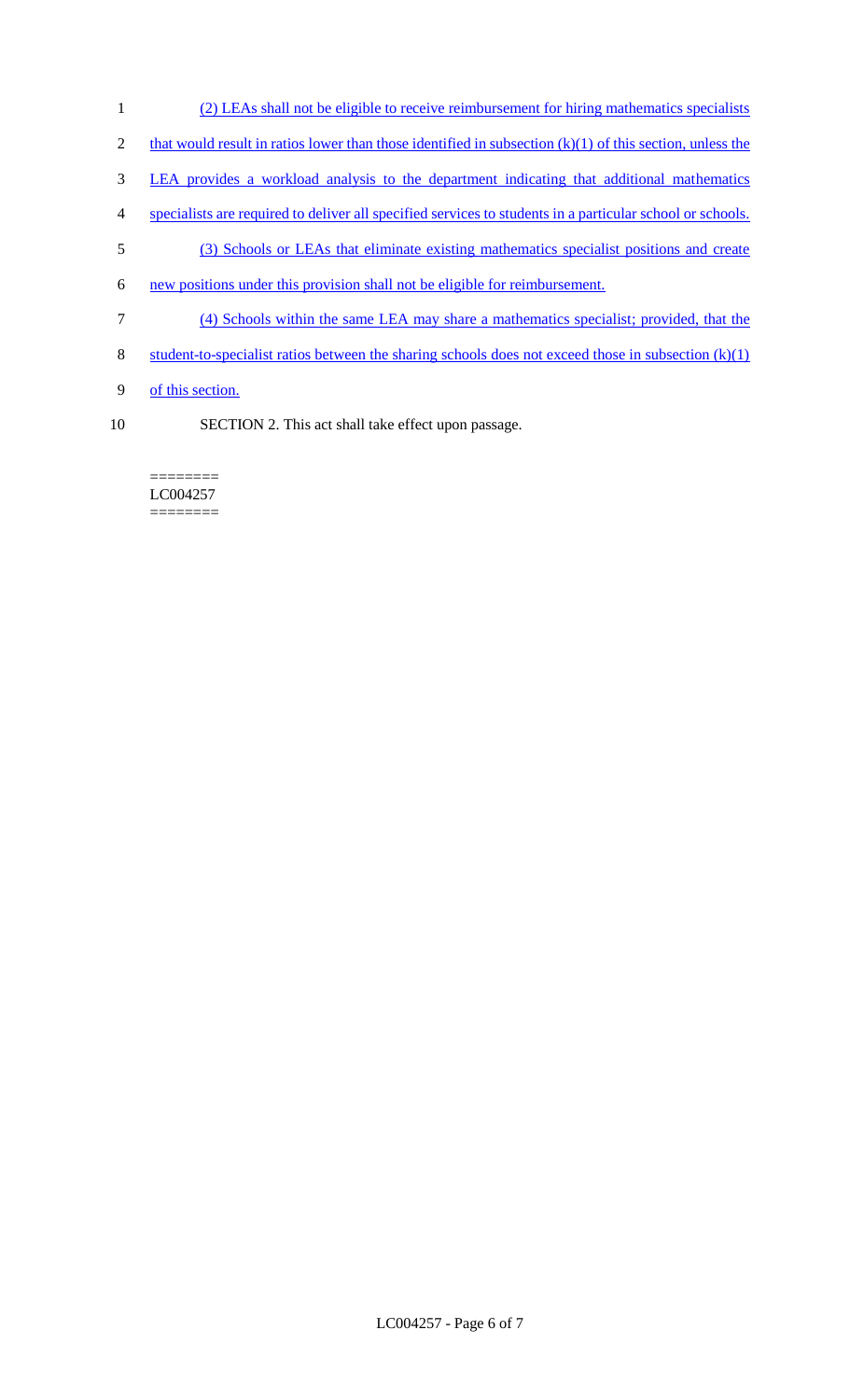- 1 (2) LEAs shall not be eligible to receive reimbursement for hiring mathematics specialists
- 2 that would result in ratios lower than those identified in subsection  $(k)(1)$  of this section, unless the
- 3 LEA provides a workload analysis to the department indicating that additional mathematics
- 4 specialists are required to deliver all specified services to students in a particular school or schools.
- 5 (3) Schools or LEAs that eliminate existing mathematics specialist positions and create
- 6 new positions under this provision shall not be eligible for reimbursement.
- 7 (4) Schools within the same LEA may share a mathematics specialist; provided, that the
- 8 student-to-specialist ratios between the sharing schools does not exceed those in subsection (k)(1)
- 9 of this section.
- 10 SECTION 2. This act shall take effect upon passage.

======== LC004257 ========